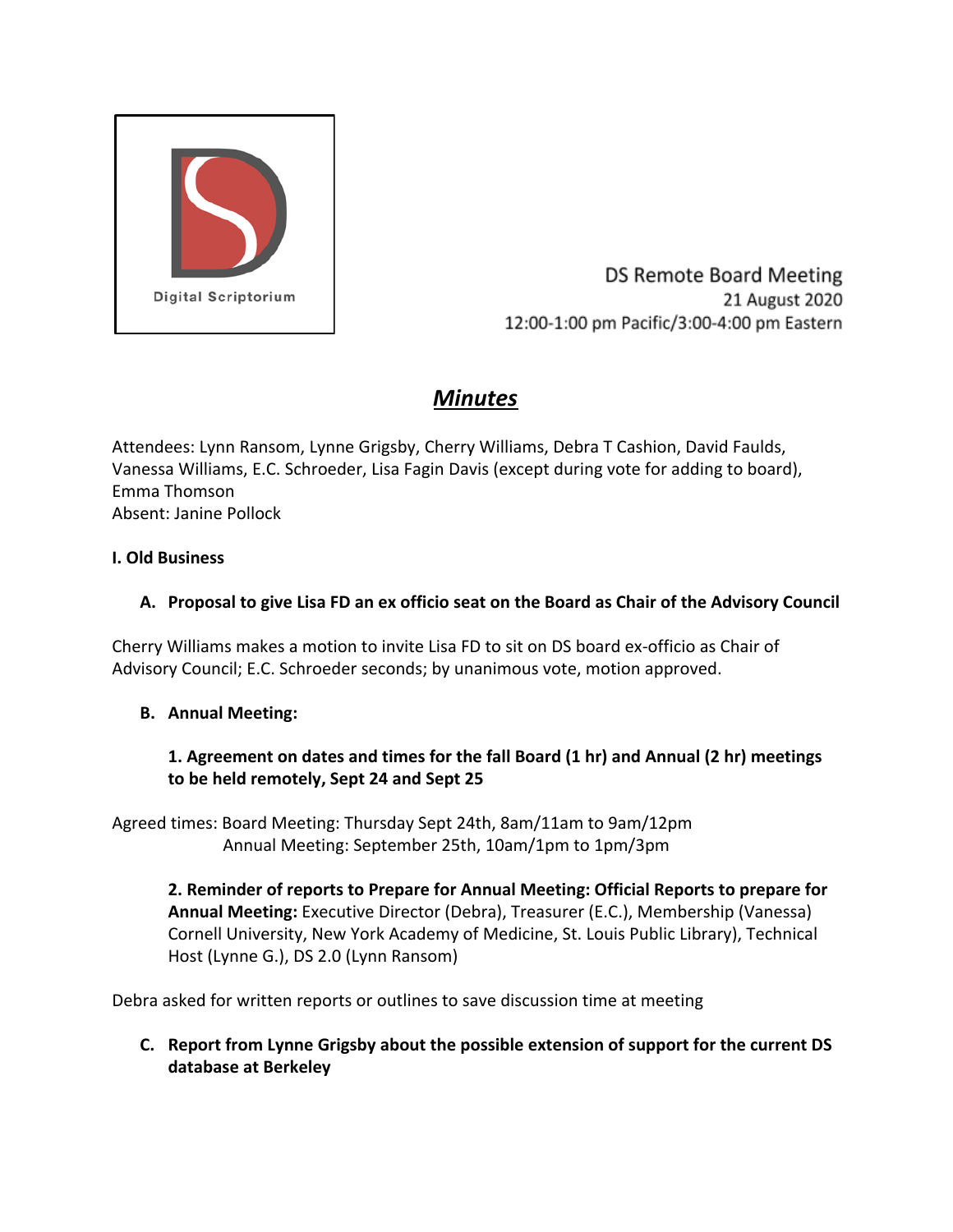

DS Remote Board Meeting 21 August 2020 12:00-1:00 pm Pacific/3:00-4:00 pm Eastern

# *Minutes*

Attendees: Lynn Ransom, Lynne Grigsby, Cherry Williams, Debra T Cashion, David Faulds, Vanessa Williams, E.C. Schroeder, Lisa Fagin Davis (except during vote for adding to board), Emma Thomson Absent: Janine Pollock

#### **I. Old Business**

## **A. Proposal to give Lisa FD an ex officio seat on the Board as Chair of the Advisory Council**

Cherry Williams makes a motion to invite Lisa FD to sit on DS board ex-officio as Chair of Advisory Council; E.C. Schroeder seconds; by unanimous vote, motion approved.

## **B. Annual Meeting:**

#### **1. Agreement on dates and times for the fall Board (1 hr) and Annual (2 hr) meetings to be held remotely, Sept 24 and Sept 25**

Agreed times: Board Meeting: Thursday Sept 24th, 8am/11am to 9am/12pm Annual Meeting: September 25th, 10am/1pm to 1pm/3pm

**2. Reminder of reports to Prepare for Annual Meeting: Official Reports to prepare for Annual Meeting:** Executive Director (Debra), Treasurer (E.C.), Membership (Vanessa) Cornell University, New York Academy of Medicine, St. Louis Public Library), Technical Host (Lynne G.), DS 2.0 (Lynn Ransom)

Debra asked for written reports or outlines to save discussion time at meeting

**C. Report from Lynne Grigsby about the possible extension of support for the current DS database at Berkeley**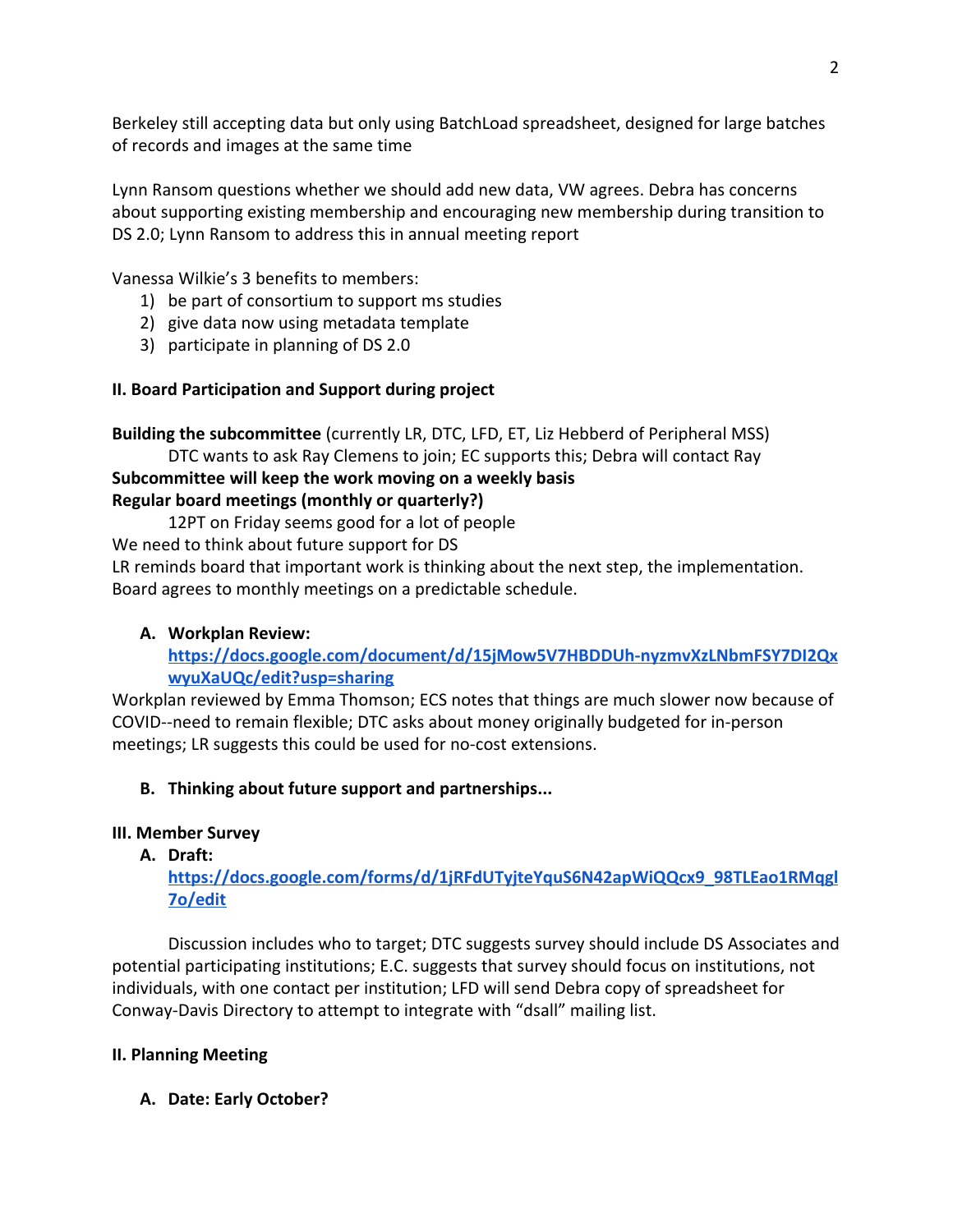Berkeley still accepting data but only using BatchLoad spreadsheet, designed for large batches of records and images at the same time

Lynn Ransom questions whether we should add new data, VW agrees. Debra has concerns about supporting existing membership and encouraging new membership during transition to DS 2.0; Lynn Ransom to address this in annual meeting report

Vanessa Wilkie's 3 benefits to members:

- 1) be part of consortium to support ms studies
- 2) give data now using metadata template
- 3) participate in planning of DS 2.0

# **II. Board Participation and Support during project**

**Building the subcommittee** (currently LR, DTC, LFD, ET, Liz Hebberd of Peripheral MSS) DTC wants to ask Ray Clemens to join; EC supports this; Debra will contact Ray

#### **Subcommittee will keep the work moving on a weekly basis Regular board meetings (monthly or quarterly?)**

12PT on Friday seems good for a lot of people

We need to think about future support for DS

LR reminds board that important work is thinking about the next step, the implementation. Board agrees to monthly meetings on a predictable schedule.

# **A. Workplan Review:**

**[https://docs.google.com/document/d/15jMow5V7HBDDUh-nyzmvXzLNbmFSY7DI2Qx](https://docs.google.com/document/d/15jMow5V7HBDDUh-nyzmvXzLNbmFSY7DI2QxwyuXaUQc/edit?usp=sharing) [wyuXaUQc/edit?usp=sharing](https://docs.google.com/document/d/15jMow5V7HBDDUh-nyzmvXzLNbmFSY7DI2QxwyuXaUQc/edit?usp=sharing)**

Workplan reviewed by Emma Thomson; ECS notes that things are much slower now because of COVID--need to remain flexible; DTC asks about money originally budgeted for in-person meetings; LR suggests this could be used for no-cost extensions.

# **B. Thinking about future support and partnerships...**

## **III. Member Survey**

**A. Draft:**

**[https://docs.google.com/forms/d/1jRFdUTyjteYquS6N42apWiQQcx9\\_98TLEao1RMqgl](https://docs.google.com/forms/d/1jRFdUTyjteYquS6N42apWiQQcx9_98TLEao1RMqgl7o/edit) [7o/edit](https://docs.google.com/forms/d/1jRFdUTyjteYquS6N42apWiQQcx9_98TLEao1RMqgl7o/edit)**

Discussion includes who to target; DTC suggests survey should include DS Associates and potential participating institutions; E.C. suggests that survey should focus on institutions, not individuals, with one contact per institution; LFD will send Debra copy of spreadsheet for Conway-Davis Directory to attempt to integrate with "dsall" mailing list.

## **II. Planning Meeting**

**A. Date: Early October?**